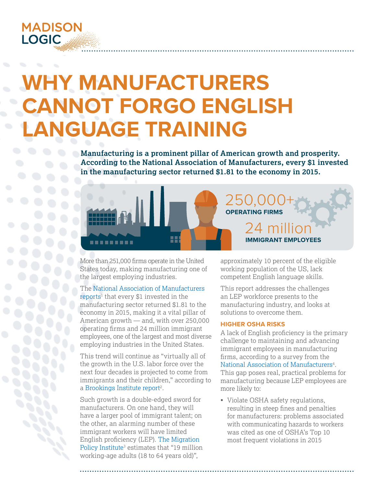

# **WHY MANUFACTURERS CANNOT FORGO ENGLISH LANGUAGE TRAINING**

**Manufacturing is a prominent pillar of American growth and prosperity. According to the National Association of Manufacturers, every \$1 invested in the manufacturing sector returned \$1.81 to the economy in 2015.**



More than 251,000 firms operate in the United States today, making manufacturing one of the largest employing industries.

The [National Association of Manufacturers](http://www.nam.org/Newsroom/Top-20-Facts-About-Manufacturing/) [reports](http://www.nam.org/Newsroom/Top-20-Facts-About-Manufacturing/)<sup>1</sup> that every \$1 invested in the manufacturing sector returned \$1.81 to the economy in 2015, making it a vital pillar of American growth — and, with over 250,000 operating firms and 24 million immigrant employees, one of the largest and most diverse employing industries in the United States.

This trend will continue as "virtually all of the growth in the U.S. labor force over the next four decades is projected to come from immigrants and their children," according to a [Brookings Institute report](https://www.brookings.edu/research/investing-in-english-skills-the-limited-english-proficient-workforce-in-u-s-metropolitan-areas/)<sup>2</sup>.

Such growth is a double-edged sword for manufacturers. On one hand, they will have a larger pool of immigrant talent; on the other, an alarming number of these immigrant workers will have limited English proficiency (LEP). [The Migration](http://immigrationforum.org/wp-content/uploads/2016/10/Language-Learning-for-a-Global-Society.pdf)  [Policy Institute](http://immigrationforum.org/wp-content/uploads/2016/10/Language-Learning-for-a-Global-Society.pdf)<sup>3</sup> estimates that "19 million working-age adults (18 to 64 years old)",

approximately 10 percent of the eligible working population of the US, lack competent English language skills.

This report addresses the challenges an LEP workforce presents to the manufacturing industry, and looks at solutions to overcome them.

# **HIGHER OSHA RISKS**

A lack of English proficiency is the primary challenge to maintaining and advancing immigrant employees in manufacturing firms, according to a survey from the National Association of Manufacturers<sup>4</sup>. This gap poses real, practical problems for

manufacturing because LEP employees are more likely to:

• Violate OSHA safety regulations, resulting in steep fines and penalties for manufacturers: problems associated with communicating hazards to workers was cited as one of OSHA's Top 10 most frequent violations in 2015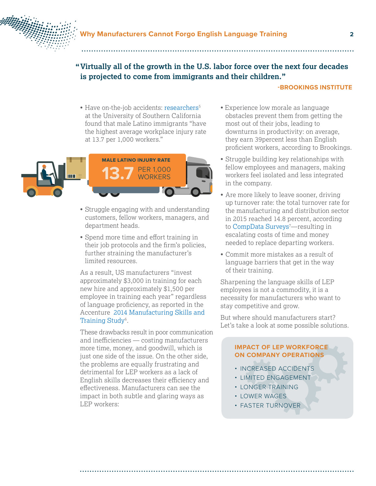

# **Virtually all of the growth in the U.S. labor force over the next four decades " is projected to come from immigrants and their children."**

### **-[BROOKINGS INSTITUTE](https://www.brookings.edu/research/investing-in-english-skills-the-limited-english-proficient-workforce-in-u-s-metropolitan-areas/)**

• Have on-the-job accidents: [researchers](https://news.usc.edu/116138/minorities-latino-immigrants-face-the-greatest-risk-of-workplace-injuries/)<sup>5</sup> at the University of Southern California found that male Latino immigrants "have the highest average workplace injury rate at 13.7 per 1,000 workers."



- Struggle engaging with and understanding customers, fellow workers, managers, and department heads.
- Spend more time and effort training in their job protocols and the firm's policies, further straining the manufacturer's limited resources.

As a result, US manufacturers "invest approximately \$3,000 in training for each new hire and approximately \$1,500 per employee in training each year" regardless of language proficiency, as reported in the Accenture [2014 Manufacturing Skills and](http://www.themanufacturinginstitute.org/Research/Skills-and-Training-Study/~/media/70965D0C4A944329894C96E0316DF336.ashx)  [Training Study](http://www.themanufacturinginstitute.org/Research/Skills-and-Training-Study/~/media/70965D0C4A944329894C96E0316DF336.ashx)<sup>6</sup>.

These drawbacks result in poor communication and inefficiencies — costing manufacturers more time, money, and goodwill, which is just one side of the issue. On the other side, the problems are equally frustrating and detrimental for LEP workers as a lack of English skills decreases their efficiency and effectiveness. Manufacturers can see the impact in both subtle and glaring ways as LEP workers:

- Experience low morale as language obstacles prevent them from getting the most out of their jobs, leading to downturns in productivity: on average, they earn 39percent less than English proficient workers, according to Brookings.
- Struggle building key relationships with fellow employees and managers, making workers feel isolated and less integrated in the company.
- Are more likely to leave sooner, driving up turnover rate: the total turnover rate for the manufacturing and distribution sector in 2015 reached 14.8 percent, according to CompData Surveys<sup>7</sup>—resulting in escalating costs of time and money needed to replace departing workers.
- Commit more mistakes as a result of language barriers that get in the way of their training.

Sharpening the language skills of LEP employees is not a commodity, it is a necessity for manufacturers who want to stay competitive and grow.

But where should manufacturers start? Let's take a look at some possible solutions.

# **IMPACT OF LEP WORKFORCE ON COMPANY OPERATIONS**

- INCREASED ACCIDENTS
- LIMITED ENGAGEMENT
- LONGER TRAINING
- LOWER WAGES
- FASTER TURNOVER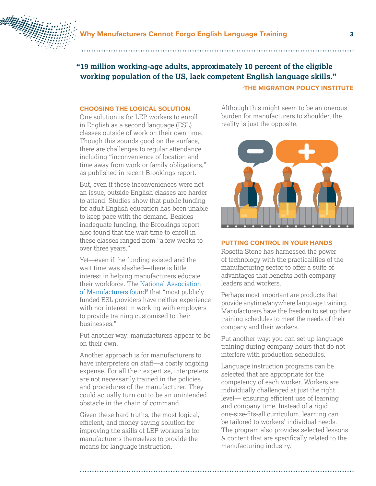

# **19 million working-age adults, approximately 10 percent of the eligible "working population of the US, lack competent English language skills."**

# **-THE MIGRATION POLICY INSTITUTE**

# **CHOOSING THE LOGICAL SOLUTION**

One solution is for LEP workers to enroll in English as a second language (ESL) classes outside of work on their own time. Though this sounds good on the surface, there are challenges to regular attendance including "inconvenience of location and time away from work or family obligations," as published in recent Brookings report.

But, even if these inconveniences were not an issue, outside English classes are harder to attend. Studies show that public funding for adult English education has been unable to keep pace with the demand. Besides inadequate funding, the Brookings report also found that the wait time to enroll in these classes ranged from "a few weeks to over three years."

Yet—even if the funding existed and the wait time was slashed—there is little interest in helping manufacturers educate their workforce. The [National Association](http://www.jff.org/sites/default/files/publications/ImprovWplaceELL.pdf)  [of Manufacturers found](http://www.jff.org/sites/default/files/publications/ImprovWplaceELL.pdf)<sup>8</sup> that "most publicly funded ESL providers have neither experience with nor interest in working with employers to provide training customized to their businesses."

Put another way: manufacturers appear to be on their own.

Another approach is for manufacturers to have interpreters on staff—a costly ongoing expense. For all their expertise, interpreters are not necessarily trained in the policies and procedures of the manufacturer. They could actually turn out to be an unintended obstacle in the chain of command.

Given these hard truths, the most logical, efficient, and money saving solution for improving the skills of LEP workers is for manufacturers themselves to provide the means for language instruction.

Although this might seem to be an onerous burden for manufacturers to shoulder, the reality is just the opposite.



# **PUTTING CONTROL IN YOUR HANDS**

Rosetta Stone has harnessed the power of technology with the practicalities of the manufacturing sector to offer a suite of advantages that benefits both company leaders and workers.

Perhaps most important are products that provide anytime/anywhere language training. Manufacturers have the freedom to set up their training schedules to meet the needs of their company and their workers.

Put another way: you can set up language training during company hours that do not interfere with production schedules.

Language instruction programs can be selected that are appropriate for the competency of each worker. Workers are individually challenged at just the right level— ensuring efficient use of learning and company time. Instead of a rigid one-size-fits-all curriculum, learning can be tailored to workers' individual needs. The program also provides selected lessons & content that are specifically related to the manufacturing industry.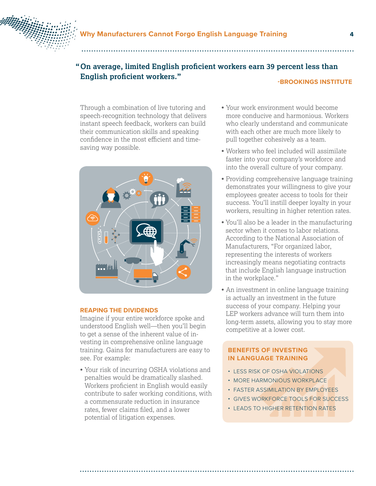

# **" On average, limited English proficient workers earn 39 percent less than English proficient workers." -[BROOKINGS INSTITUTE](https://www.brookings.edu/research/investing-in-english-skills-the-limited-english-proficient-workforce-in-u-s-metropolitan-areas/)**

Through a combination of live tutoring and speech-recognition technology that delivers instant speech feedback, workers can build their communication skills and speaking confidence in the most efficient and timesaving way possible.



# **REAPING THE DIVIDENDS**

Imagine if your entire workforce spoke and understood English well—then you'll begin to get a sense of the inherent value of investing in comprehensive online language training. Gains for manufacturers are easy to see. For example:

• Your risk of incurring OSHA violations and penalties would be dramatically slashed. Workers proficient in English would easily contribute to safer working conditions, with a commensurate reduction in insurance rates, fewer claims filed, and a lower potential of litigation expenses.

- Your work environment would become more conducive and harmonious. Workers who clearly understand and communicate with each other are much more likely to pull together cohesively as a team.
- Workers who feel included will assimilate faster into your company's workforce and into the overall culture of your company.
- Providing comprehensive language training demonstrates your willingness to give your employees greater access to tools for their success. You'll instill deeper loyalty in your workers, resulting in higher retention rates.
- You'll also be a leader in the manufacturing sector when it comes to labor relations. According to the National Association of Manufacturers, "For organized labor, representing the interests of workers increasingly means negotiating contracts that include English language instruction in the workplace."
- An investment in online language training is actually an investment in the future success of your company. Helping your LEP workers advance will turn them into long-term assets, allowing you to stay more competitive at a lower cost.

# **BENEFITS OF INVESTING IN LANGUAGE TRAINING**

- LESS RISK OF OSHA VIOLATIONS
- MORE HARMONIOUS WORKPLACE
- FASTER ASSIMILATION BY EMPLOYEES
- GIVES WORKFORCE TOOLS FOR SUCCESS
- LEADS TO HIGHER RETENTION RATES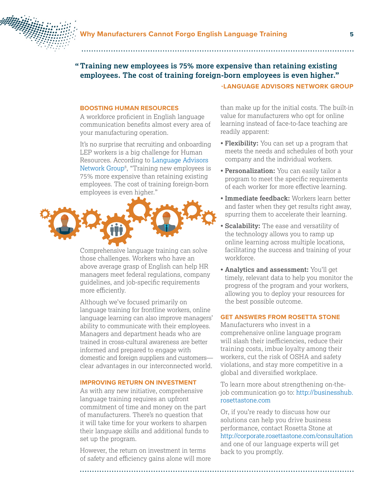

# **"Training new employees is 75% more expensive than retaining existing employees. The cost of training foreign-born employees is even higher."**

### **-[LANGUAGE ADVISORS NETWORK GROUP](http://www.imec.org/blog/2017/02/linguistic-cultural-barriers-manufacturing-language/#.WP5mJrhCgkQ)**

# **BOOSTING HUMAN RESOURCES**

A workforce proficient in English language communication benefits almost every area of your manufacturing operation.

It's no surprise that recruiting and onboarding LEP workers is a big challenge for Human Resources. According to [Language Advisors](http://www.imec.org/blog/2017/02/linguistic-cultural-barriers-manufacturing-language/#.WTmL2ZJfnwB)  Network Group<sup>8</sup>, "Training new employees is 75% more expensive than retaining existing employees. The cost of training foreign-born employees is even higher."



Comprehensive language training can solve those challenges. Workers who have an above average grasp of English can help HR managers meet federal regulations, company guidelines, and job-specific requirements more efficiently.

Although we've focused primarily on language training for frontline workers, online language learning can also improve managers' ability to communicate with their employees. Managers and department heads who are trained in cross-cultural awareness are better informed and prepared to engage with domestic and foreign suppliers and customers clear advantages in our interconnected world.

# **IMPROVING RETURN ON INVESTMENT**

As with any new initiative, comprehensive language training requires an upfront commitment of time and money on the part of manufacturers. There's no question that it will take time for your workers to sharpen their language skills and additional funds to set up the program.

However, the return on investment in terms of safety and efficiency gains alone will more

than make up for the initial costs. The built-in value for manufacturers who opt for online learning instead of face-to-face teaching are readily apparent:

- **Flexibility:** You can set up a program that meets the needs and schedules of both your company and the individual workers.
- **Personalization:** You can easily tailor a program to meet the specific requirements of each worker for more effective learning.
- **Immediate feedback:** Workers learn better and faster when they get results right away, spurring them to accelerate their learning.
- **Scalability:** The ease and versatility of the technology allows you to ramp up online learning across multiple locations, facilitating the success and training of your workforce.
- **Analytics and assessment:** You'll get timely, relevant data to help you monitor the progress of the program and your workers, allowing you to deploy your resources for the best possible outcome.

# **GET ANSWERS FROM ROSETTA STONE**

Manufacturers who invest in a comprehensive online language program will slash their inefficiencies, reduce their training costs, imbue loyalty among their workers, cut the risk of OSHA and safety violations, and stay more competitive in a global and diversified workplace.

To learn more about strengthening on-thejob communication go to: [http://businesshub.](http://businesshub.rosettastone.com) [rosettastone.com](http://businesshub.rosettastone.com)

Or, if you're ready to discuss how our solutions can help you drive business performance, contact Rosetta Stone at <http://corporate.rosettastone.com/consultation> and one of our language experts will get back to you promptly.